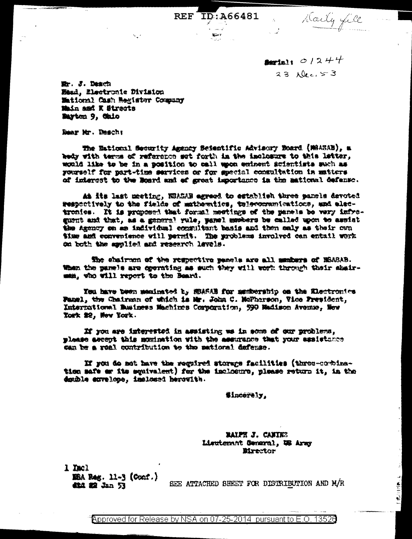**August**  $01244$ 23 Dec. 53

REF ID: A66481 Aaily fill

Etr. J. Desch Nead, Electronic Division Mational Cash Register Company Main and K Streets Mayton 9, Gaio

Rear Mr. Rescht

The National Security Agency Scientific Advisory Board (MASAB), a kedy with terms of reference set forth in the inclesure to this latter, would like to be in a position to call upon entment scientists such as pourself for part-time services or for special consultation in matters of interest to the Moard and of great importance in the mational defense.

At its last meeting, HSASAB agreed to establish three panels devoted respectively to the fields of mathematics, telecommunications, and alsotrenies. It is proposed that formal meetings of the panels be very infreguent and that, as a general rule, yangl members be called upon to assist the Agency on an individual consultant basis and then only as their own time and convenience will permit. The problems involved can entail work on both the applied and research lavels.

the chairmon of the respective panels are all members of HSABAB. When the panels are operating as such they will work through their shairman, who will report to the Beard.

You have been maximated by Middle for membership on the Electronics Fazel, the Chairman of which is Mr. John C. McPherson, Vice Fresident, International Business Machines Comporation, 590 Madison Avenue, New York \$2, New York.

If you are interested in assisting we in some of our problems, please accept this momination with the assurance that your assistance can be a real contribution to the mational defense.

If you do not have the required storage facilities (three-corbination safe or its squivalent) for the inclosure, please return it, in the denthle anvelope, implemed herowith.

**Sincerely,** 

RAIPH J. CANIES Lieutenant General, WS Army **Birector** 

1 mel E5A Rag. 11-3 (Conf.) 4824 数 320 53

SEE ATTACHED SHEET FOR DISTRIBUTION AND M/R

I CHILIPPE

Approved for Release by NSA on 07-25-2014 pursuant to E.O. 13526